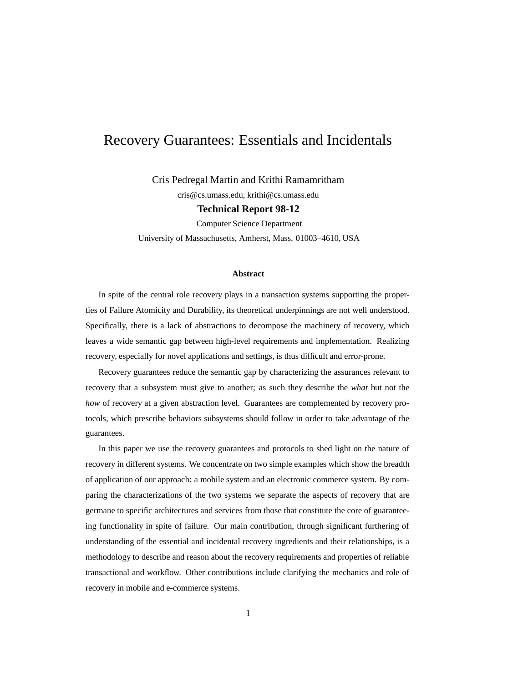# Recovery Guarantees: Essentials and Incidentals

Cris Pedregal Martin and Krithi Ramamritham

cris@cs.umass.edu, krithi@cs.umass.edu

**Technical Report 98-12**

Computer Science Department

University of Massachusetts, Amherst, Mass. 01003–4610, USA

#### **Abstract**

In spite of the central role recovery plays in a transaction systems supporting the properties of Failure Atomicity and Durability, its theoretical underpinnings are not well understood. Specifically, there is a lack of abstractions to decompose the machinery of recovery, which leaves a wide semantic gap between high-level requirements and implementation. Realizing recovery, especially for novel applications and settings, is thus difficult and error-prone.

Recovery guarantees reduce the semantic gap by characterizing the assurances relevant to recovery that a subsystem must give to another; as such they describe the *what* but not the *how* of recovery at a given abstraction level. Guarantees are complemented by recovery protocols, which prescribe behaviors subsystems should follow in order to take advantage of the guarantees.

In this paper we use the recovery guarantees and protocols to shed light on the nature of recovery in different systems. We concentrate on two simple examples which show the breadth of application of our approach: a mobile system and an electronic commerce system. By comparing the characterizations of the two systems we separate the aspects of recovery that are germane to specific architectures and services from those that constitute the core of guaranteeing functionality in spite of failure. Our main contribution, through significant furthering of understanding of the essential and incidental recovery ingredients and their relationships, is a methodology to describe and reason about the recovery requirements and properties of reliable transactional and workflow. Other contributions include clarifying the mechanics and role of recovery in mobile and e-commerce systems.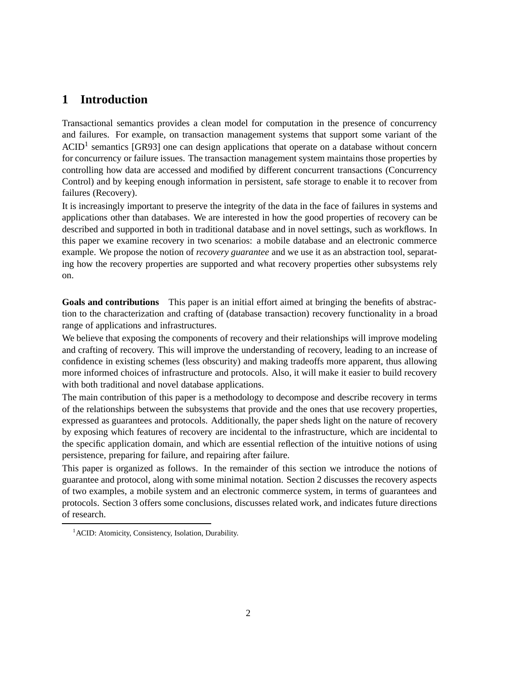### **1 Introduction**

Transactional semantics provides a clean model for computation in the presence of concurrency and failures. For example, on transaction management systems that support some variant of the  $ACID<sup>1</sup>$  semantics [GR93] one can design applications that operate on a database without concern for concurrency or failure issues. The transaction management system maintains those properties by controlling how data are accessed and modified by different concurrent transactions (Concurrency Control) and by keeping enough information in persistent, safe storage to enable it to recover from failures (Recovery).

It is increasingly important to preserve the integrity of the data in the face of failures in systems and applications other than databases. We are interested in how the good properties of recovery can be described and supported in both in traditional database and in novel settings, such as workflows. In this paper we examine recovery in two scenarios: a mobile database and an electronic commerce example. We propose the notion of *recovery guarantee* and we use it as an abstraction tool, separating how the recovery properties are supported and what recovery properties other subsystems rely on.

**Goals and contributions** This paper is an initial effort aimed at bringing the benefits of abstraction to the characterization and crafting of (database transaction) recovery functionality in a broad range of applications and infrastructures.

We believe that exposing the components of recovery and their relationships will improve modeling and crafting of recovery. This will improve the understanding of recovery, leading to an increase of confidence in existing schemes (less obscurity) and making tradeoffs more apparent, thus allowing more informed choices of infrastructure and protocols. Also, it will make it easier to build recovery with both traditional and novel database applications.

The main contribution of this paper is a methodology to decompose and describe recovery in terms of the relationships between the subsystems that provide and the ones that use recovery properties, expressed as guarantees and protocols. Additionally, the paper sheds light on the nature of recovery by exposing which features of recovery are incidental to the infrastructure, which are incidental to the specific application domain, and which are essential reflection of the intuitive notions of using persistence, preparing for failure, and repairing after failure.

This paper is organized as follows. In the remainder of this section we introduce the notions of guarantee and protocol, along with some minimal notation. Section 2 discusses the recovery aspects of two examples, a mobile system and an electronic commerce system, in terms of guarantees and protocols. Section 3 offers some conclusions, discusses related work, and indicates future directions of research.

<sup>&</sup>lt;sup>1</sup> ACID: Atomicity, Consistency, Isolation, Durability.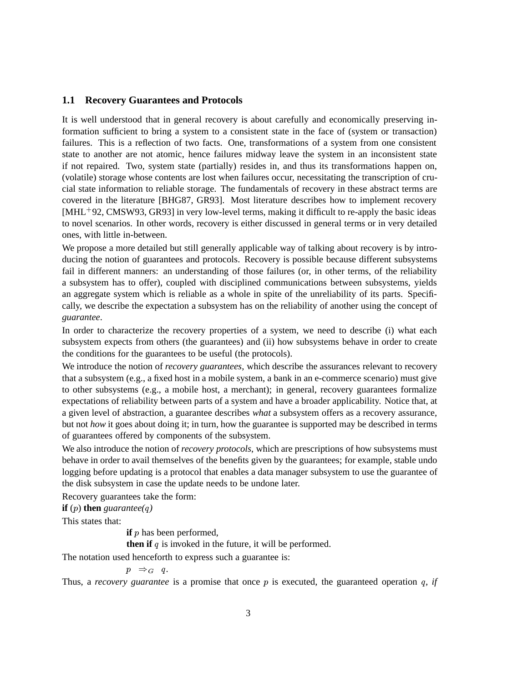### **1.1 Recovery Guarantees and Protocols**

It is well understood that in general recovery is about carefully and economically preserving information sufficient to bring a system to a consistent state in the face of (system or transaction) failures. This is a reflection of two facts. One, transformations of a system from one consistent state to another are not atomic, hence failures midway leave the system in an inconsistent state if not repaired. Two, system state (partially) resides in, and thus its transformations happen on, (volatile) storage whose contents are lost when failures occur, necessitating the transcription of crucial state information to reliable storage. The fundamentals of recovery in these abstract terms are covered in the literature [BHG87, GR93]. Most literature describes how to implement recovery [MHL 92, CMSW93, GR93] in very low-level terms, making it difficult to re-apply the basic ideas to novel scenarios. In other words, recovery is either discussed in general terms or in very detailed ones, with little in-between.

We propose a more detailed but still generally applicable way of talking about recovery is by introducing the notion of guarantees and protocols. Recovery is possible because different subsystems fail in different manners: an understanding of those failures (or, in other terms, of the reliability a subsystem has to offer), coupled with disciplined communications between subsystems, yields an aggregate system which is reliable as a whole in spite of the unreliability of its parts. Specifically, we describe the expectation a subsystem has on the reliability of another using the concept of *guarantee*.

In order to characterize the recovery properties of a system, we need to describe (i) what each subsystem expects from others (the guarantees) and (ii) how subsystems behave in order to create the conditions for the guarantees to be useful (the protocols).

We introduce the notion of *recovery guarantees*, which describe the assurances relevant to recovery that a subsystem (e.g., a fixed host in a mobile system, a bank in an e-commerce scenario) must give to other subsystems (e.g., a mobile host, a merchant); in general, recovery guarantees formalize expectations of reliability between parts of a system and have a broader applicability. Notice that, at a given level of abstraction, a guarantee describes *what* a subsystem offers as a recovery assurance, but not *how* it goes about doing it; in turn, how the guarantee is supported may be described in terms of guarantees offered by components of the subsystem.

We also introduce the notion of *recovery protocols*, which are prescriptions of how subsystems must behave in order to avail themselves of the benefits given by the guarantees; for example, stable undo logging before updating is a protocol that enables a data manager subsystem to use the guarantee of the disk subsystem in case the update needs to be undone later.

Recovery guarantees take the form:

**if** (*p*) **then** *guarantee*(*q*)

This states that:

**if** *p* has been performed,

**then if**  $q$  is invoked in the future, it will be performed.

The notation used henceforth to express such a guarantee is:

 $p \Rightarrow_G q$ .

Thus, a *recovery guarantee* is a promise that once  $p$  is executed, the guaranteed operation  $q$ , *if*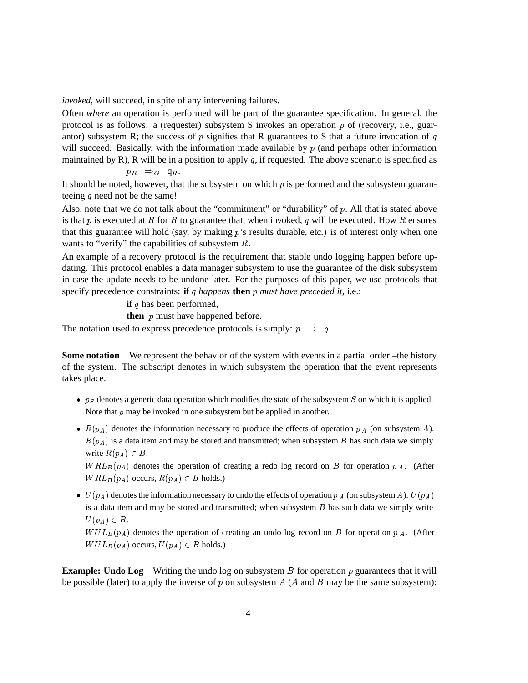*invoked*, will succeed, in spite of any intervening failures.

Often *where* an operation is performed will be part of the guarantee specification. In general, the protocol is as follows: a (requester) subsystem S invokes an operation  $p$  of (recovery, i.e., guarantor) subsystem R; the success of  $p$  signifies that R guarantees to S that a future invocation of  $q$ will succeed. Basically, with the information made available by  $p$  (and perhaps other information maintained by R), R will be in a position to apply  $q$ , if requested. The above scenario is specified as

 $p_R \Rightarrow_G \mathsf{q}_R.$ 

It should be noted, however, that the subsystem on which  $p$  is performed and the subsystem guaranteeing  $q$  need not be the same!

Also, note that we do not talk about the "commitment" or "durability" of  $p$ . All that is stated above is that p is executed at R for R to guarantee that, when invoked,  $q$  will be executed. How R ensures that this guarantee will hold (say, by making  $p$ 's results durable, etc.) is of interest only when one wants to "verify" the capabilities of subsystem  $R$ .

An example of a recovery protocol is the requirement that stable undo logging happen before updating. This protocol enables a data manager subsystem to use the guarantee of the disk subsystem in case the update needs to be undone later. For the purposes of this paper, we use protocols that specify precedence constraints: **if**  $q$  happens **then**  $p$  must have preceded it, i.e.:

**if**  $q$  has been performed,

**then**  $p$  must have happened before.

The notation used to express precedence protocols is simply:  $p \rightarrow q$ .

**Some notation** We represent the behavior of the system with events in a partial order –the history of the system. The subscript denotes in which subsystem the operation that the event represents takes place.

- $p_S$  denotes a generic data operation which modifies the state of the subsystem  $S$  on which it is applied. Note that  $p$  may be invoked in one subsystem but be applied in another.
- $R(p_A)$  denotes the information necessary to produce the effects of operation  $p_A$  (on subsystem A).  $R(p_A)$  is a data item and may be stored and transmitted; when subsystem B has such data we simply write  $R(p_A) \in B$ .

 $WRL_B(p_A)$  denotes the operation of creating a redo log record on B for operation  $p_A$ . (After  $WRL_B(p_A)$  occurs,  $R(p_A) \in B$  holds.)

•  $U(p_A)$  denotes the information necessary to undo the effects of operation  $p_A$  (on subsystem A).  $U(p_A)$ is a data item and may be stored and transmitted; when subsystem  $B$  has such data we simply write  $U(p_A) \in B$ .

 $WUL_B(p_A)$  denotes the operation of creating an undo log record on B for operation  $p_A$ . (After  $WUL_B(p_A)$  occurs,  $U(p_A) \in B$  holds.)

**Example: Undo Log** Writing the undo log on subsystem  $\hat{B}$  for operation  $\hat{p}$  guarantees that it will be possible (later) to apply the inverse of  $p$  on subsystem  $A(A \text{ and } B \text{ may be the same subsystem):$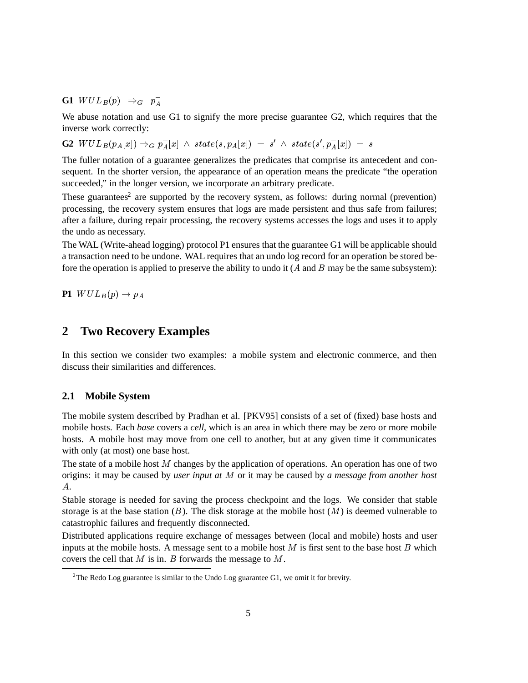**G1**  $WUL_B(p) \Rightarrow_G p_A^-$ 

We abuse notation and use G1 to signify the more precise guarantee G2, which requires that the inverse work correctly:

 $G2 \ \ WUL_B(p_A[x]) \Rightarrow_G p_A^-[x] \ \wedge \ state(s, p_A[x]) = s' \ \wedge \ state(s', p_A^-[x]) = s$ 

The fuller notation of a guarantee generalizes the predicates that comprise its antecedent and consequent. In the shorter version, the appearance of an operation means the predicate "the operation succeeded," in the longer version, we incorporate an arbitrary predicate.

These guarantees<sup>2</sup> are supported by the recovery system, as follows: during normal (prevention) processing, the recovery system ensures that logs are made persistent and thus safe from failures; after a failure, during repair processing, the recovery systems accesses the logs and uses it to apply the undo as necessary.

The WAL (Write-ahead logging) protocol P1 ensures that the guarantee G1 will be applicable should a transaction need to be undone. WAL requires that an undo log record for an operation be stored before the operation is applied to preserve the ability to undo it  $(A \text{ and } B \text{ may be the same subsystem):$ 

**P1**  $WUL_B(p) \rightarrow p_A$ 

### **2 Two Recovery Examples**

In this section we consider two examples: a mobile system and electronic commerce, and then discuss their similarities and differences.

#### **2.1 Mobile System**

The mobile system described by Pradhan et al. [PKV95] consists of a set of (fixed) base hosts and mobile hosts. Each *base* covers a *cell*, which is an area in which there may be zero or more mobile hosts. A mobile host may move from one cell to another, but at any given time it communicates with only (at most) one base host.

The state of a mobile host  $M$  changes by the application of operations. An operation has one of two origins: it may be caused by *user input at* M or it may be caused by *a message from another host*  $A<sub>.</sub>$ 

Stable storage is needed for saving the process checkpoint and the logs. We consider that stable storage is at the base station  $(B)$ . The disk storage at the mobile host  $(M)$  is deemed vulnerable to catastrophic failures and frequently disconnected.

Distributed applications require exchange of messages between (local and mobile) hosts and user inputs at the mobile hosts. A message sent to a mobile host  $M$  is first sent to the base host  $B$  which covers the cell that  $M$  is in.  $B$  forwards the message to  $M$ .

<sup>&</sup>lt;sup>2</sup>The Redo Log guarantee is similar to the Undo Log guarantee G1, we omit it for brevity.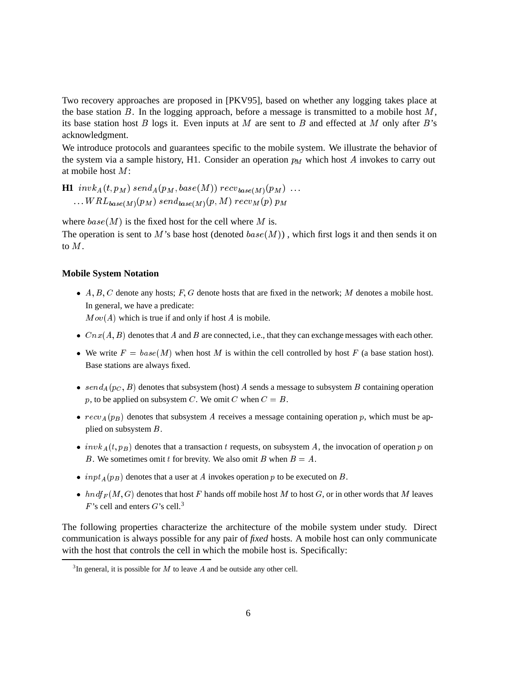Two recovery approaches are proposed in [PKV95], based on whether any logging takes place at the base station  $B$ . In the logging approach, before a message is transmitted to a mobile host  $M$ , its base station host  $B$  logs it. Even inputs at  $M$  are sent to  $B$  and effected at  $M$  only after  $B$ 's acknowledgment.

We introduce protocols and guarantees specific to the mobile system. We illustrate the behavior of the system via a sample history, H1. Consider an operation  $p_M$  which host  $A$  invokes to carry out at mobile host  $M$ :

 $\mathbf{H1} \ \ invk_A(t,p_M) \ send_A(p_M,base(M)) \ recv_{base(M)}(p_M) \ \ldots$  $\ldots WRL_{base(M)}(p_M)$   $send_{base(M)}(p,M)$   $recv_{M}(p)$   $p_M$ 

where  $base(M)$  is the fixed host for the cell where M is.

The operation is sent to M's base host (denoted  $base(M)$ ), which first logs it and then sends it on to  $M$ .

#### **Mobile System Notation**

•  $A, B, C$  denote any hosts; F, G denote hosts that are fixed in the network; M denotes a mobile host. In general, we have a predicate:  $Mov(A)$  which is true if and only if host A is mobile.

- $Cnx(A, B)$  denotes that A and B are connected, i.e., that they can exchange messages with each other.
- We write  $F = base(M)$  when host M is within the cell controlled by host F (a base station host). Base stations are always fixed.
- $send_A(p_C, B)$  denotes that subsystem (host) A sends a message to subsystem B containing operation p, to be applied on subsystem C. We omit C when  $C = B$ .
- $recv_A(p_B)$  denotes that subsystem A receives a message containing operation p, which must be applied on subsystem  $B$ .
- $inv k_A(t, p_B)$  denotes that a transaction t requests, on subsystem A, the invocation of operation p on B. We sometimes omit t for brevity. We also omit B when  $B = A$ .
- $\bullet$  inpt<sub>A</sub> $(p_B)$  denotes that a user at A invokes operation p to be executed on B.
- $hndf_F(M, G)$  denotes that host F hands off mobile host M to host G, or in other words that M leaves  $F$ 's cell and enters  $G$ 's cell.<sup>3</sup>

The following properties characterize the architecture of the mobile system under study. Direct communication is always possible for any pair of *fixed* hosts. A mobile host can only communicate with the host that controls the cell in which the mobile host is. Specifically:

 $3$ In general, it is possible for M to leave A and be outside any other cell.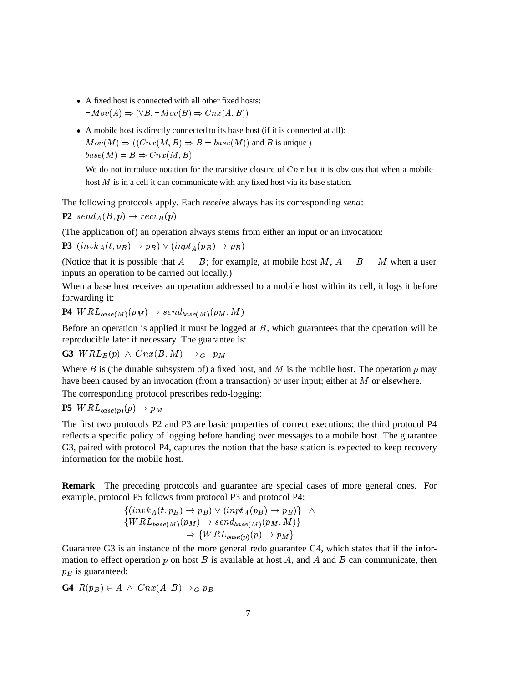- A fixed host is connected with all other fixed hosts:  $\cdots$  .  $\cdots$   $\cdots$   $\cdots$   $\cdots$   $\cdots$   $\cdots$   $\cdots$   $\cdots$   $\cdots$   $\cdots$
- A mobile host is directly connected to its base host (if it is connected at all):  $Mov(M) \Rightarrow ((Cnx(M, B) \Rightarrow B = base(M))$  and B is unique) - -

We do not introduce notation for the transitive closure of  $Cnx$  but it is obvious that when a mobile host  $M$  is in a cell it can communicate with any fixed host via its base station.

The following protocols apply. Each *receive* always has its corresponding *send*:  $P2 \; send_A(B, p) \rightarrow recv_B(p)$ 

(The application of) an operation always stems from either an input or an invocation:

**P3**  $(\text{inv}_A(t, p_B) \rightarrow p_B) \vee (\text{inv}_A(p_B) \rightarrow p_B)$ 

(Notice that it is possible that  $A = B$ ; for example, at mobile host M,  $A = B = M$  when a user inputs an operation to be carried out locally.)

When a base host receives an operation addressed to a mobile host within its cell, it logs it before forwarding it:

$$
P4 \ WRL_{base(M)}(p_M) \rightarrow send_{base(M)}(p_M, M)
$$

Before an operation is applied it must be logged at  $B$ , which guarantees that the operation will be reproducible later if necessary. The guarantee is:

 $G3 \text{ } WRL_B(p) \wedge \text{ } Cnx(B,M) \Rightarrow_G p_M$ 

Where  $B$  is (the durable subsystem of) a fixed host, and  $M$  is the mobile host. The operation  $p$  may have been caused by an invocation (from a transaction) or user input; either at  $M$  or elsewhere.

The corresponding protocol prescribes redo-logging:

**P5**  $WRL_{base(p)}(p) \rightarrow p_M$ . .

The first two protocols P2 and P3 are basic properties of correct executions; the third protocol P4 reflects a specific policy of logging before handing over messages to a mobile host. The guarantee G3, paired with protocol P4, captures the notion that the base station is expected to keep recovery information for the mobile host.

**Remark** The preceding protocols and guarantee are special cases of more general ones. For example, protocol P5 follows from protocol P3 and protocol P4:

$$
\{(inv k_A(t, p_B) \to p_B) \lor (inv t_A(p_B) \to p_B)\} \land \{WRL_{base(M)}(p_M) \to send_{base(M)}(p_M, M)\}\n\Rightarrow \{WRL_{base(p)}(p) \to p_M\}
$$

Guarantee G3 is an instance of the more general redo guarantee G4, which states that if the information to effect operation  $p$  on host  $B$  is available at host  $A$ , and  $A$  and  $B$  can communicate, then  $p<sub>B</sub>$  is guaranteed:

**G4**  $R(p_B) \in A \land Cnx(A, B) \Rightarrow_G p_B$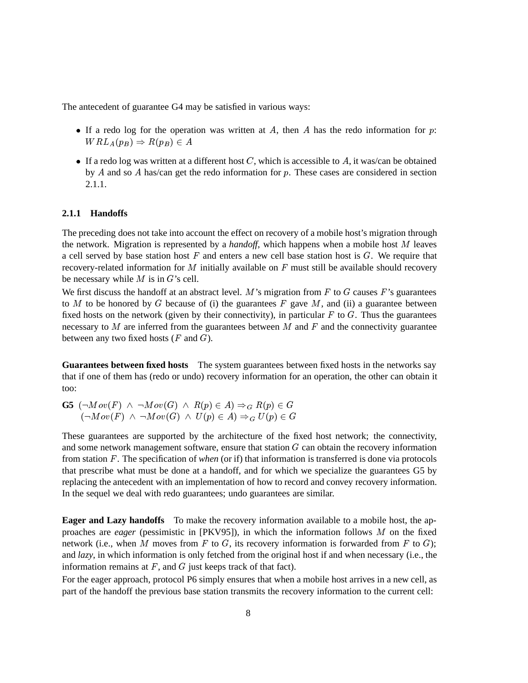The antecedent of guarantee G4 may be satisfied in various ways:

- If a redo log for the operation was written at A, then A has the redo information for  $p$ : - -
- If a redo log was written at a different host  $C$ , which is accessible to  $A$ , it was/can be obtained by  $A$  and so  $A$  has/can get the redo information for  $p$ . These cases are considered in section 2.1.1.

#### **2.1.1 Handoffs**

The preceding does not take into account the effect on recovery of a mobile host's migration through the network. Migration is represented by a *handoff*, which happens when a mobile host  $M$  leaves a cell served by base station host  $F$  and enters a new cell base station host is  $G$ . We require that recovery-related information for  $M$  initially available on  $F$  must still be available should recovery be necessary while  $M$  is in  $G$ 's cell.

We first discuss the handoff at an abstract level.  $M$ 's migration from  $F$  to  $G$  causes  $F$ 's guarantees to  $M$  to be honored by  $G$  because of (i) the guarantees  $F$  gave  $M$ , and (ii) a guarantee between fixed hosts on the network (given by their connectivity), in particular  $F$  to  $G$ . Thus the guarantees necessary to  $M$  are inferred from the guarantees between  $M$  and  $F$  and the connectivity guarantee between any two fixed hosts  $(F \text{ and } G)$ .

**Guarantees between fixed hosts** The system guarantees between fixed hosts in the networks say that if one of them has (redo or undo) recovery information for an operation, the other can obtain it too:

 $\mathbf{G5}$   $(\neg Mov(F) \ \wedge \ \neg Mov(G) \ \wedge \ R(p) \in A) \Rightarrow_G R(p) \in G$  $\left( \begin{array}{c} \text{if } \mathbf{r} \in \mathbb{R}^n, \mathbf{r} \in \mathbb{R}^n, \mathbf{r} \in \mathbb{R}^n, \mathbf{r} \in \mathbb{R}^n, \mathbf{r} \in \mathbb{R}^n, \mathbf{r} \in \mathbb{R}^n, \mathbf{r} \in \mathbb{R}^n, \mathbf{r} \in \mathbb{R}^n, \mathbf{r} \in \mathbb{R}^n, \mathbf{r} \in \mathbb{R}^n, \mathbf{r} \in \mathbb{R}^n, \mathbf{r} \in \mathbb{R}^n, \$ 

These guarantees are supported by the architecture of the fixed host network; the connectivity, and some network management software, ensure that station  $G$  can obtain the recovery information from station F. The specification of *when* (or if) that information is transferred is done via protocols that prescribe what must be done at a handoff, and for which we specialize the guarantees G5 by replacing the antecedent with an implementation of how to record and convey recovery information. In the sequel we deal with redo guarantees; undo guarantees are similar.

**Eager and Lazy handoffs** To make the recovery information available to a mobile host, the approaches are *eager* (pessimistic in [PKV95]), in which the information follows  $M$  on the fixed network (i.e., when M moves from F to G, its recovery information is forwarded from F to G); and *lazy*, in which information is only fetched from the original host if and when necessary (i.e., the information remains at  $F$ , and  $G$  just keeps track of that fact).

For the eager approach, protocol P6 simply ensures that when a mobile host arrives in a new cell, as part of the handoff the previous base station transmits the recovery information to the current cell: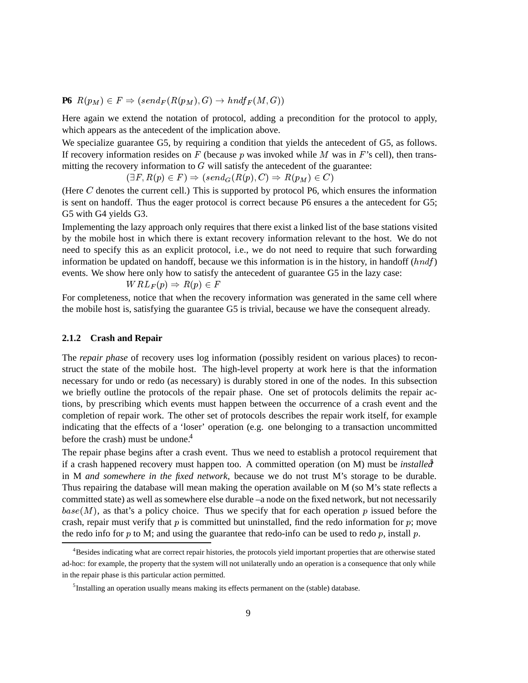$\textbf{P6} \ \ R(p_M) \in F \Rightarrow (send_F(R(p_M), G) \rightarrow hndf_F(M, G))$ 

Here again we extend the notation of protocol, adding a precondition for the protocol to apply, which appears as the antecedent of the implication above.

We specialize guarantee G5, by requiring a condition that yields the antecedent of G5, as follows. If recovery information resides on  $F$  (because  $p$  was invoked while  $M$  was in  $F$ 's cell), then transmitting the recovery information to  $G$  will satisfy the antecedent of the guarantee:

 $(2-1)^2$   $(2-1)^2$   $(3-1)^2$   $(4-1)(p)$   $(5-1)^2$   $(1-p)$   $(1-p)$   $(1-p)$ 

(Here  $C$  denotes the current cell.) This is supported by protocol P6, which ensures the information is sent on handoff. Thus the eager protocol is correct because P6 ensures a the antecedent for G5; G5 with G4 yields G3.

Implementing the lazy approach only requires that there exist a linked list of the base stations visited by the mobile host in which there is extant recovery information relevant to the host. We do not need to specify this as an explicit protocol, i.e., we do not need to require that such forwarding information be updated on handoff, because we this information is in the history, in handoff  $(hndf)$ events. We show here only how to satisfy the antecedent of guarantee G5 in the lazy case:

$$
WRL_F(p) \Rightarrow R(p) \in F
$$

For completeness, notice that when the recovery information was generated in the same cell where the mobile host is, satisfying the guarantee G5 is trivial, because we have the consequent already.

#### **2.1.2 Crash and Repair**

The *repair phase* of recovery uses log information (possibly resident on various places) to reconstruct the state of the mobile host. The high-level property at work here is that the information necessary for undo or redo (as necessary) is durably stored in one of the nodes. In this subsection we briefly outline the protocols of the repair phase. One set of protocols delimits the repair actions, by prescribing which events must happen between the occurrence of a crash event and the completion of repair work. The other set of protocols describes the repair work itself, for example indicating that the effects of a 'loser' operation (e.g. one belonging to a transaction uncommitted before the crash) must be undone.<sup>4</sup>

The repair phase begins after a crash event. Thus we need to establish a protocol requirement that if a crash happened recovery must happen too. A committed operation (on M) must be *installed* in M *and somewhere in the fixed network*, because we do not trust M's storage to be durable. Thus repairing the database will mean making the operation available on M (so M's state reflects a committed state) as well as somewhere else durable –a node on the fixed network, but not necessarily  $base(M)$ , as that's a policy choice. Thus we specify that for each operation p issued before the crash, repair must verify that  $p$  is committed but uninstalled, find the redo information for  $p$ ; move the redo info for  $p$  to M; and using the guarantee that redo-info can be used to redo  $p$ , install  $p$ .

<sup>&</sup>lt;sup>4</sup>Besides indicating what are correct repair histories, the protocols yield important properties that are otherwise stated ad-hoc: for example, the property that the system will not unilaterally undo an operation is a consequence that only while in the repair phase is this particular action permitted.

<sup>&</sup>lt;sup>5</sup>Installing an operation usually means making its effects permanent on the (stable) database.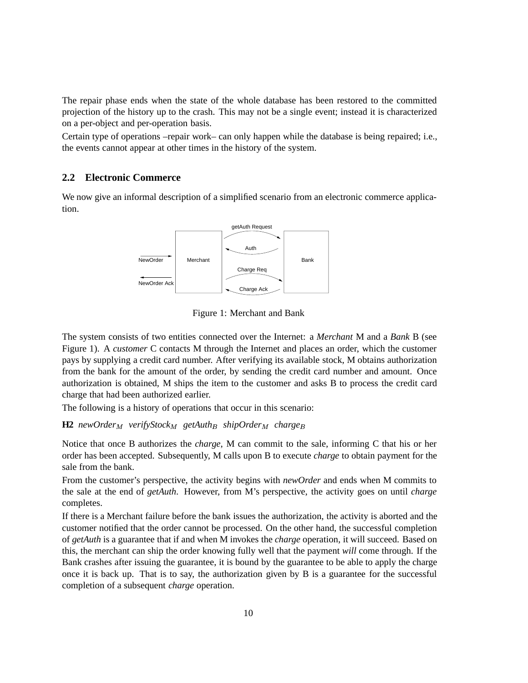The repair phase ends when the state of the whole database has been restored to the committed projection of the history up to the crash. This may not be a single event; instead it is characterized on a per-object and per-operation basis.

Certain type of operations –repair work– can only happen while the database is being repaired; i.e., the events cannot appear at other times in the history of the system.

### **2.2 Electronic Commerce**

We now give an informal description of a simplified scenario from an electronic commerce application.



Figure 1: Merchant and Bank

The system consists of two entities connected over the Internet: a *Merchant* M and a *Bank* B (see Figure 1). A *customer* C contacts M through the Internet and places an order, which the customer pays by supplying a credit card number. After verifying its available stock, M obtains authorization from the bank for the amount of the order, by sending the credit card number and amount. Once authorization is obtained, M ships the item to the customer and asks B to process the credit card charge that had been authorized earlier.

The following is a history of operations that occur in this scenario:

### **H2** *newOrder<sub>M</sub> verifyStock<sub>M</sub> getAuth<sub>B</sub> shipOrder<sub>M</sub> <i>charge<sub>B</sub>*

Notice that once B authorizes the *charge*, M can commit to the sale, informing C that his or her order has been accepted. Subsequently, M calls upon B to execute *charge* to obtain payment for the sale from the bank.

From the customer's perspective, the activity begins with *newOrder* and ends when M commits to the sale at the end of *getAuth*. However, from M's perspective, the activity goes on until *charge* completes.

If there is a Merchant failure before the bank issues the authorization, the activity is aborted and the customer notified that the order cannot be processed. On the other hand, the successful completion of *getAuth* is a guarantee that if and when M invokes the *charge* operation, it will succeed. Based on this, the merchant can ship the order knowing fully well that the payment *will* come through. If the Bank crashes after issuing the guarantee, it is bound by the guarantee to be able to apply the charge once it is back up. That is to say, the authorization given by B is a guarantee for the successful completion of a subsequent *charge* operation.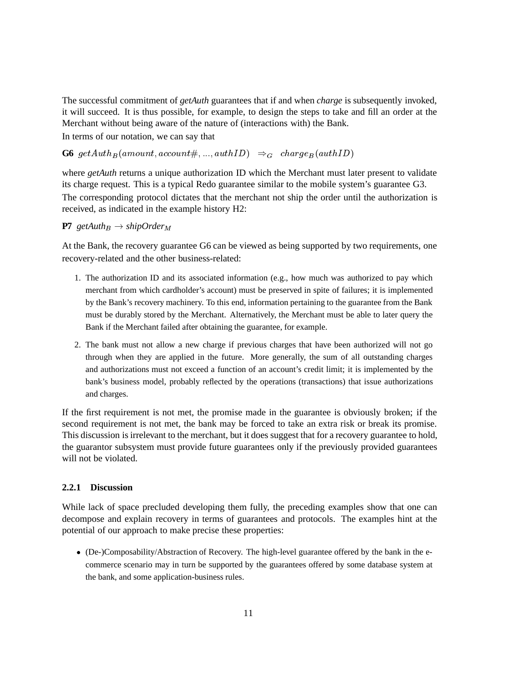The successful commitment of *getAuth* guarantees that if and when *charge* is subsequently invoked, it will succeed. It is thus possible, for example, to design the steps to take and fill an order at the Merchant without being aware of the nature of (interactions with) the Bank.

In terms of our notation, we can say that

 $\bf{G6}$  get $\textit{Auth}_B(\textit{amount}, \textit{account}\#,...,\textit{authID}) \Rightarrow_G \textit{charge}_B(\textit{authID})$ 

where *getAuth* returns a unique authorization ID which the Merchant must later present to validate its charge request. This is a typical Redo guarantee similar to the mobile system's guarantee G3. The corresponding protocol dictates that the merchant not ship the order until the authorization is received, as indicated in the example history H2:

#### **P7**  $getAuth_B \rightarrow shipOrder_M$

At the Bank, the recovery guarantee G6 can be viewed as being supported by two requirements, one recovery-related and the other business-related:

- 1. The authorization ID and its associated information (e.g., how much was authorized to pay which merchant from which cardholder's account) must be preserved in spite of failures; it is implemented by the Bank's recovery machinery. To this end, information pertaining to the guarantee from the Bank must be durably stored by the Merchant. Alternatively, the Merchant must be able to later query the Bank if the Merchant failed after obtaining the guarantee, for example.
- 2. The bank must not allow a new charge if previous charges that have been authorized will not go through when they are applied in the future. More generally, the sum of all outstanding charges and authorizations must not exceed a function of an account's credit limit; it is implemented by the bank's business model, probably reflected by the operations (transactions) that issue authorizations and charges.

If the first requirement is not met, the promise made in the guarantee is obviously broken; if the second requirement is not met, the bank may be forced to take an extra risk or break its promise. This discussion is irrelevant to the merchant, but it does suggest that for a recovery guarantee to hold, the guarantor subsystem must provide future guarantees only if the previously provided guarantees will not be violated.

#### **2.2.1 Discussion**

While lack of space precluded developing them fully, the preceding examples show that one can decompose and explain recovery in terms of guarantees and protocols. The examples hint at the potential of our approach to make precise these properties:

 (De-)Composability/Abstraction of Recovery. The high-level guarantee offered by the bank in the ecommerce scenario may in turn be supported by the guarantees offered by some database system at the bank, and some application-business rules.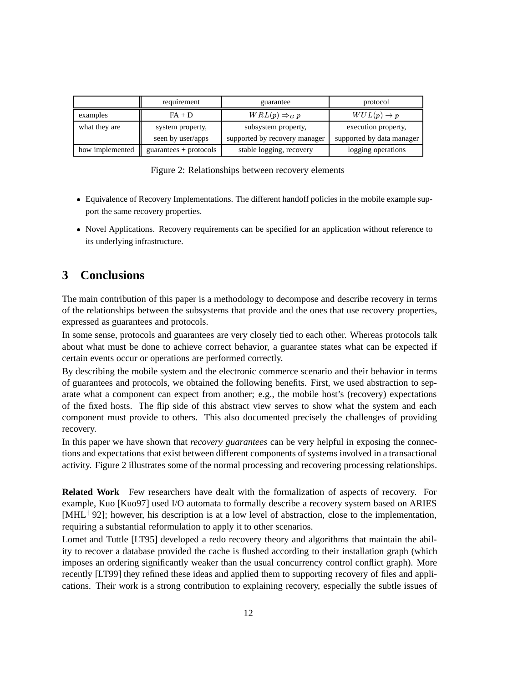|                 | requirement              | guarantee                     | protocol                  |
|-----------------|--------------------------|-------------------------------|---------------------------|
| examples        | $FA + D$                 | $WRL(p) \Rightarrow_G p$      | $WUL(p) \rightarrow p$    |
| what they are   | system property,         | subsystem property,           | execution property,       |
|                 | seen by user/apps        | supported by recovery manager | supported by data manager |
| how implemented | $guarantees + protocols$ | stable logging, recovery      | logging operations        |

Figure 2: Relationships between recovery elements

- Equivalence of Recovery Implementations. The different handoff policies in the mobile example support the same recovery properties.
- Novel Applications. Recovery requirements can be specified for an application without reference to its underlying infrastructure.

## **3 Conclusions**

The main contribution of this paper is a methodology to decompose and describe recovery in terms of the relationships between the subsystems that provide and the ones that use recovery properties, expressed as guarantees and protocols.

In some sense, protocols and guarantees are very closely tied to each other. Whereas protocols talk about what must be done to achieve correct behavior, a guarantee states what can be expected if certain events occur or operations are performed correctly.

By describing the mobile system and the electronic commerce scenario and their behavior in terms of guarantees and protocols, we obtained the following benefits. First, we used abstraction to separate what a component can expect from another; e.g., the mobile host's (recovery) expectations of the fixed hosts. The flip side of this abstract view serves to show what the system and each component must provide to others. This also documented precisely the challenges of providing recovery.

In this paper we have shown that *recovery guarantees* can be very helpful in exposing the connections and expectations that exist between different components of systems involved in a transactional activity. Figure 2 illustrates some of the normal processing and recovering processing relationships.

**Related Work** Few researchers have dealt with the formalization of aspects of recovery. For example, Kuo [Kuo97] used I/O automata to formally describe a recovery system based on ARIES [MHL 92]; however, his description is at a low level of abstraction, close to the implementation, requiring a substantial reformulation to apply it to other scenarios.

Lomet and Tuttle [LT95] developed a redo recovery theory and algorithms that maintain the ability to recover a database provided the cache is flushed according to their installation graph (which imposes an ordering significantly weaker than the usual concurrency control conflict graph). More recently [LT99] they refined these ideas and applied them to supporting recovery of files and applications. Their work is a strong contribution to explaining recovery, especially the subtle issues of